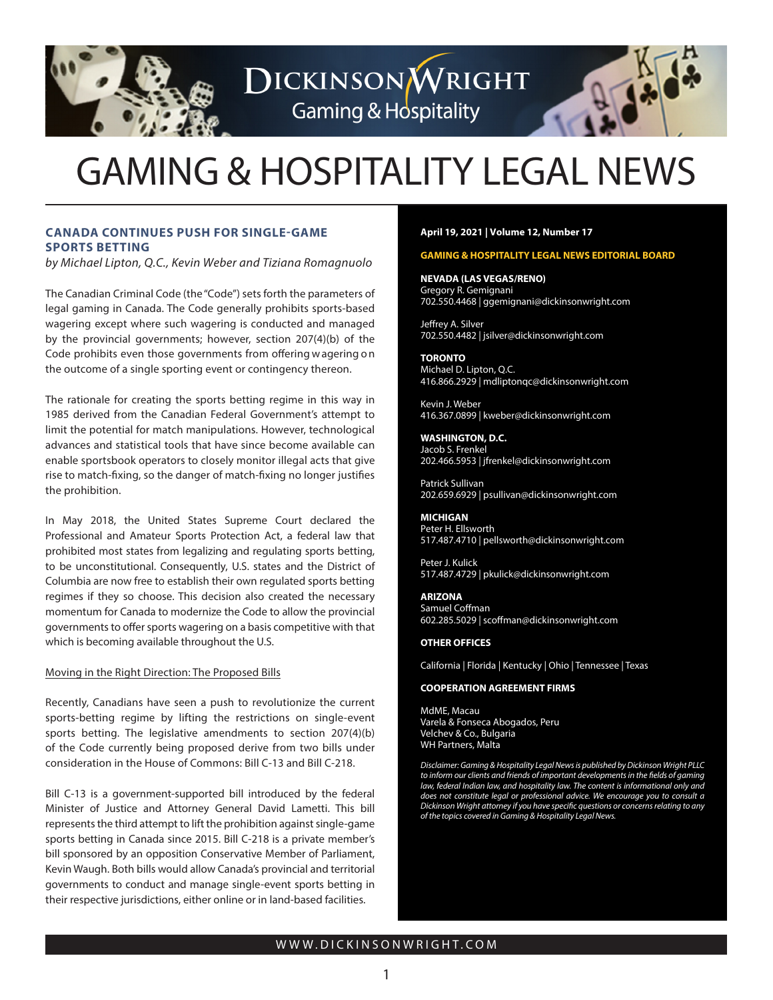

GAMING & HOSPITALITY LEGAL NEWS

DICKINSONWRIGHT

**Gaming & Hospitality** 

# **CANADA CONTINUES PUSH FOR SINGLE-GAME SPORTS BETTING**

*by Michael Lipton,* Q.C., *Kevin Weber* and Tiziana Romagnuolo

The Canadian Criminal Code (the"Code") sets forth the parameters of legal gaming in Canada. The Code generally prohibits sports-based wagering except where such wagering is conducted and managed by the provincial governments; however, section 207(4)(b) of the Code prohibits even those governments from offering w agering o n the outcome of a single sporting event or contingency thereon.

The rationale for creating the sports betting regime in this way in 1985 derived from the Canadian Federal Government's attempt to limit the potential for match manipulations. However, technological advances and statistical tools that have since become available can enable sportsbook operators to closely monitor illegal acts that give rise to match-fixing, so the danger of match-fixing no longer justifies the prohibition.

In May 2018, the United States Supreme Court declared the Professional and Amateur Sports Protection Act, a federal law that prohibited most states from legalizing and regulating sports betting, to be unconstitutional. Consequently, U.S. states and the District of Columbia are now free to establish their own regulated sports betting regimes if they so choose. This decision also created the necessary momentum for Canada to modernize the Code to allow the provincial governments to offer sports wagering on a basis competitive with that which is becoming available throughout the U.S.

#### Moving in the Right Direction: The Proposed Bills

Recently, Canadians have seen a push to revolutionize the current sports-betting regime by lifting the restrictions on single-event sports betting. The legislative amendments to section 207(4)(b) of the Code currently being proposed derive from two bills under consideration in the House of Commons: Bill C-13 and Bill C-218.

Bill C-13 is a government-supported bill introduced by the federal Minister of Justice and Attorney General David Lametti. This bill represents the third attempt to lift the prohibition against single-game sports betting in Canada since 2015. Bill C-218 is a private member's bill sponsored by an opposition Conservative Member of Parliament, Kevin Waugh. Both bills would allow Canada's provincial and territorial governments to conduct and manage single-event sports betting in their respective jurisdictions, either online or in land-based facilities.

#### **April 19, 2021 | Volume 12, Number 17**

#### **GAMING & HOSPITALITY LEGAL NEWS EDITORIAL BOARD**

**NEVADA (LAS VEGAS/RENO)** Gregory R. Gemignani 702.550.4468 | ggemignani@dickinsonwright.com

Jeffrey A. Silver 702.550.4482 | jsilver@dickinsonwright.com

**TORONTO** Michael D. Lipton, Q.C. 416.866.2929 | mdliptonqc@dickinsonwright.com

Kevin J. Weber 416.367.0899 | kweber@dickinsonwright.com

**WASHINGTON, D.C.** Jacob S. Frenkel 202.466.5953 | jfrenkel@dickinsonwright.com

Patrick Sullivan 202.659.6929 | psullivan@dickinsonwright.com

**MICHIGAN** Peter H. Ellsworth 517.487.4710 | pellsworth@dickinsonwright.com

Peter J. Kulick 517.487.4729 | pkulick@dickinsonwright.com

**ARIZONA** Samuel Coffman 602.285.5029 | scoffman@dickinsonwright.com

#### **OTHER OFFICES**

California | Florida | Kentucky | Ohio | Tennessee | Texas

#### **COOPERATION AGREEMENT FIRMS**

[MdME, Macau](www.mdme.com.mo) [Varela & Fonseca Abogados, Peru](www.varelafonseca.com) [Velchev & Co., Bulgaria](www.vlaw.bg)  [WH Partners, Malta](www.whpartners.eu) 

*Disclaimer: Gaming & Hospitality Legal Newsis published by Dickinson Wright PLLC to inform our clients and friends of important developments in the fields of gaming law, federal Indian law, and hospitality law. The content is informational only and does not constitute legal or professional advice. We encourage you to consult a Dickinson Wright attorney if you have specific questions or concerns relating to any of the topics covered in Gaming & Hospitality Legal News.*

## WWW.DICKINSONWRIGHT.COM